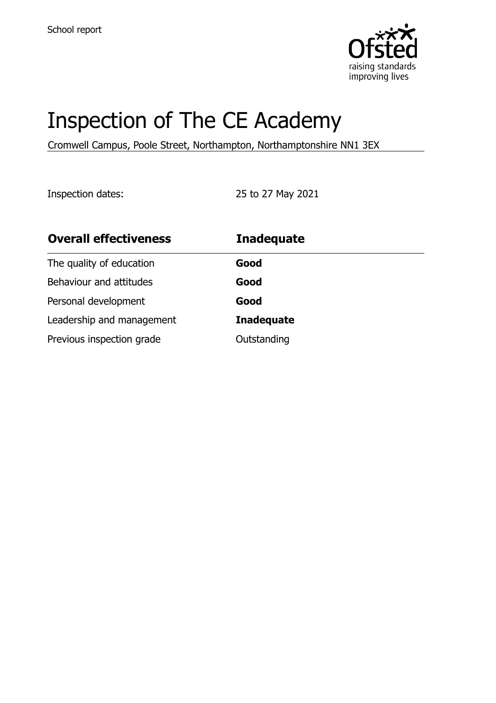

# Inspection of The CE Academy

Cromwell Campus, Poole Street, Northampton, Northamptonshire NN1 3EX

Inspection dates: 25 to 27 May 2021

| <b>Overall effectiveness</b> | <b>Inadequate</b> |
|------------------------------|-------------------|
| The quality of education     | Good              |
| Behaviour and attitudes      | Good              |
| Personal development         | Good              |
| Leadership and management    | <b>Inadequate</b> |
| Previous inspection grade    | Outstanding       |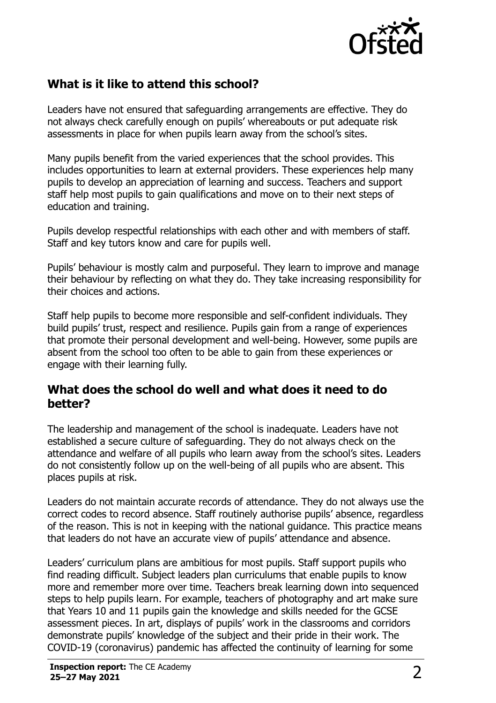

# **What is it like to attend this school?**

Leaders have not ensured that safeguarding arrangements are effective. They do not always check carefully enough on pupils' whereabouts or put adequate risk assessments in place for when pupils learn away from the school's sites.

Many pupils benefit from the varied experiences that the school provides. This includes opportunities to learn at external providers. These experiences help many pupils to develop an appreciation of learning and success. Teachers and support staff help most pupils to gain qualifications and move on to their next steps of education and training.

Pupils develop respectful relationships with each other and with members of staff. Staff and key tutors know and care for pupils well.

Pupils' behaviour is mostly calm and purposeful. They learn to improve and manage their behaviour by reflecting on what they do. They take increasing responsibility for their choices and actions.

Staff help pupils to become more responsible and self-confident individuals. They build pupils' trust, respect and resilience. Pupils gain from a range of experiences that promote their personal development and well-being. However, some pupils are absent from the school too often to be able to gain from these experiences or engage with their learning fully.

#### **What does the school do well and what does it need to do better?**

The leadership and management of the school is inadequate. Leaders have not established a secure culture of safeguarding. They do not always check on the attendance and welfare of all pupils who learn away from the school's sites. Leaders do not consistently follow up on the well-being of all pupils who are absent. This places pupils at risk.

Leaders do not maintain accurate records of attendance. They do not always use the correct codes to record absence. Staff routinely authorise pupils' absence, regardless of the reason. This is not in keeping with the national guidance. This practice means that leaders do not have an accurate view of pupils' attendance and absence.

Leaders' curriculum plans are ambitious for most pupils. Staff support pupils who find reading difficult. Subject leaders plan curriculums that enable pupils to know more and remember more over time. Teachers break learning down into sequenced steps to help pupils learn. For example, teachers of photography and art make sure that Years 10 and 11 pupils gain the knowledge and skills needed for the GCSE assessment pieces. In art, displays of pupils' work in the classrooms and corridors demonstrate pupils' knowledge of the subject and their pride in their work. The COVID-19 (coronavirus) pandemic has affected the continuity of learning for some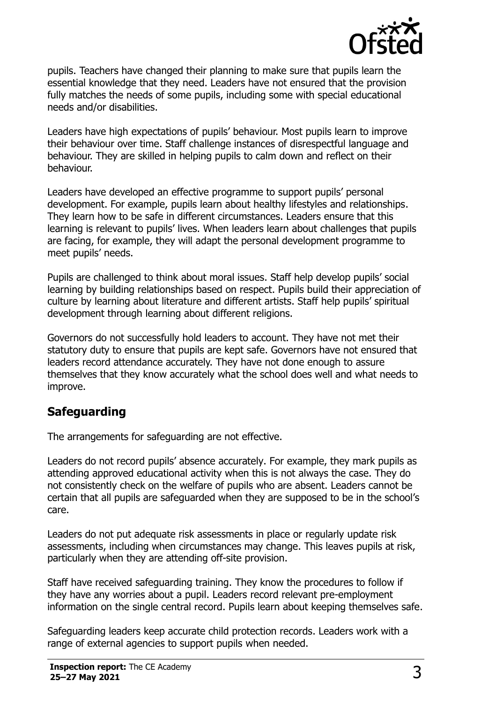

pupils. Teachers have changed their planning to make sure that pupils learn the essential knowledge that they need. Leaders have not ensured that the provision fully matches the needs of some pupils, including some with special educational needs and/or disabilities.

Leaders have high expectations of pupils' behaviour. Most pupils learn to improve their behaviour over time. Staff challenge instances of disrespectful language and behaviour. They are skilled in helping pupils to calm down and reflect on their behaviour.

Leaders have developed an effective programme to support pupils' personal development. For example, pupils learn about healthy lifestyles and relationships. They learn how to be safe in different circumstances. Leaders ensure that this learning is relevant to pupils' lives. When leaders learn about challenges that pupils are facing, for example, they will adapt the personal development programme to meet pupils' needs.

Pupils are challenged to think about moral issues. Staff help develop pupils' social learning by building relationships based on respect. Pupils build their appreciation of culture by learning about literature and different artists. Staff help pupils' spiritual development through learning about different religions.

Governors do not successfully hold leaders to account. They have not met their statutory duty to ensure that pupils are kept safe. Governors have not ensured that leaders record attendance accurately. They have not done enough to assure themselves that they know accurately what the school does well and what needs to improve.

## **Safeguarding**

The arrangements for safeguarding are not effective.

Leaders do not record pupils' absence accurately. For example, they mark pupils as attending approved educational activity when this is not always the case. They do not consistently check on the welfare of pupils who are absent. Leaders cannot be certain that all pupils are safeguarded when they are supposed to be in the school's care.

Leaders do not put adequate risk assessments in place or regularly update risk assessments, including when circumstances may change. This leaves pupils at risk, particularly when they are attending off-site provision.

Staff have received safeguarding training. They know the procedures to follow if they have any worries about a pupil. Leaders record relevant pre-employment information on the single central record. Pupils learn about keeping themselves safe.

Safeguarding leaders keep accurate child protection records. Leaders work with a range of external agencies to support pupils when needed.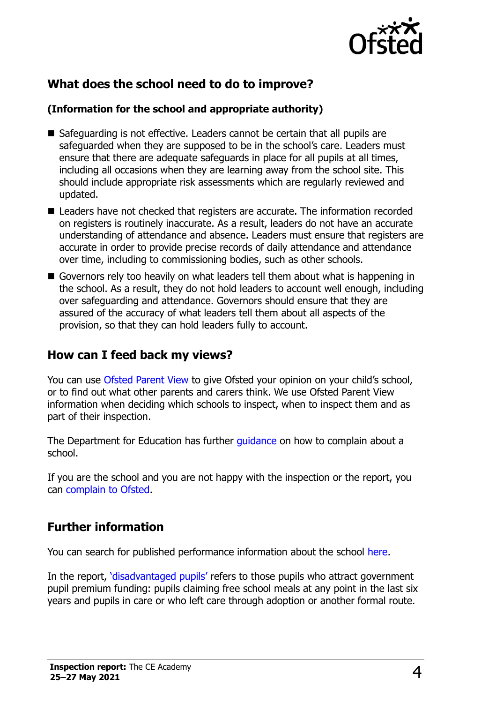

## **What does the school need to do to improve?**

#### **(Information for the school and appropriate authority)**

- $\blacksquare$  Safeguarding is not effective. Leaders cannot be certain that all pupils are safeguarded when they are supposed to be in the school's care. Leaders must ensure that there are adequate safeguards in place for all pupils at all times, including all occasions when they are learning away from the school site. This should include appropriate risk assessments which are regularly reviewed and updated.
- Leaders have not checked that registers are accurate. The information recorded on registers is routinely inaccurate. As a result, leaders do not have an accurate understanding of attendance and absence. Leaders must ensure that registers are accurate in order to provide precise records of daily attendance and attendance over time, including to commissioning bodies, such as other schools.
- Governors rely too heavily on what leaders tell them about what is happening in the school. As a result, they do not hold leaders to account well enough, including over safeguarding and attendance. Governors should ensure that they are assured of the accuracy of what leaders tell them about all aspects of the provision, so that they can hold leaders fully to account.

#### **How can I feed back my views?**

You can use [Ofsted Parent View](http://parentview.ofsted.gov.uk/) to give Ofsted your opinion on your child's school, or to find out what other parents and carers think. We use Ofsted Parent View information when deciding which schools to inspect, when to inspect them and as part of their inspection.

The Department for Education has further quidance on how to complain about a school.

If you are the school and you are not happy with the inspection or the report, you can [complain to Ofsted.](http://www.gov.uk/complain-ofsted-report)

## **Further information**

You can search for published performance information about the school [here.](http://www.compare-school-performance.service.gov.uk/)

In the report, ['disadvantaged pupils'](http://www.gov.uk/guidance/pupil-premium-information-for-schools-and-alternative-provision-settings) refers to those pupils who attract government pupil premium funding: pupils claiming free school meals at any point in the last six years and pupils in care or who left care through adoption or another formal route.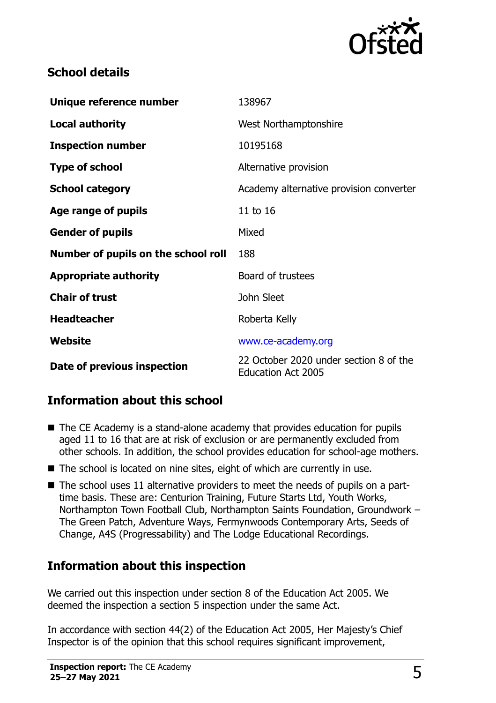

#### **School details**

| Unique reference number             | 138967                                                              |  |
|-------------------------------------|---------------------------------------------------------------------|--|
| <b>Local authority</b>              | West Northamptonshire                                               |  |
| <b>Inspection number</b>            | 10195168                                                            |  |
| <b>Type of school</b>               | Alternative provision                                               |  |
| <b>School category</b>              | Academy alternative provision converter                             |  |
| Age range of pupils                 | 11 to 16                                                            |  |
| <b>Gender of pupils</b>             | Mixed                                                               |  |
| Number of pupils on the school roll | 188                                                                 |  |
| <b>Appropriate authority</b>        | Board of trustees                                                   |  |
| <b>Chair of trust</b>               | John Sleet                                                          |  |
| <b>Headteacher</b>                  | Roberta Kelly                                                       |  |
| Website                             | www.ce-academy.org                                                  |  |
| Date of previous inspection         | 22 October 2020 under section 8 of the<br><b>Education Act 2005</b> |  |

## **Information about this school**

- The CE Academy is a stand-alone academy that provides education for pupils aged 11 to 16 that are at risk of exclusion or are permanently excluded from other schools. In addition, the school provides education for school-age mothers.
- The school is located on nine sites, eight of which are currently in use.
- The school uses 11 alternative providers to meet the needs of pupils on a parttime basis. These are: Centurion Training, Future Starts Ltd, Youth Works, Northampton Town Football Club, Northampton Saints Foundation, Groundwork – The Green Patch, Adventure Ways, Fermynwoods Contemporary Arts, Seeds of Change, A4S (Progressability) and The Lodge Educational Recordings.

## **Information about this inspection**

We carried out this inspection under section 8 of the Education Act 2005. We deemed the inspection a section 5 inspection under the same Act.

In accordance with section 44(2) of the Education Act 2005, Her Majesty's Chief Inspector is of the opinion that this school requires significant improvement,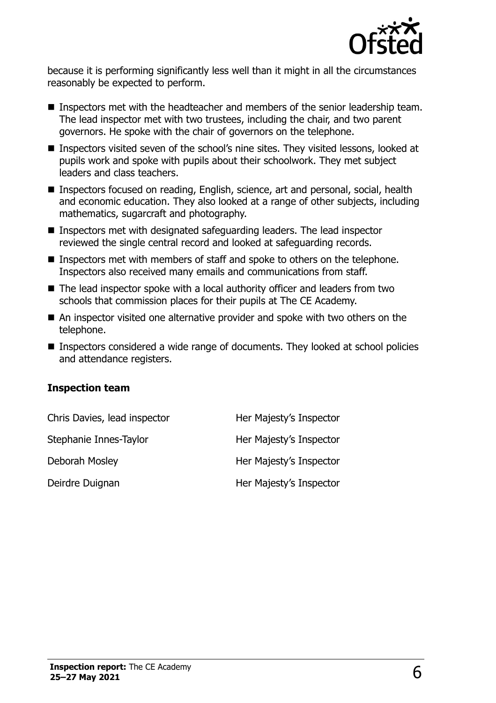

because it is performing significantly less well than it might in all the circumstances reasonably be expected to perform.

- Inspectors met with the headteacher and members of the senior leadership team. The lead inspector met with two trustees, including the chair, and two parent governors. He spoke with the chair of governors on the telephone.
- Inspectors visited seven of the school's nine sites. They visited lessons, looked at pupils work and spoke with pupils about their schoolwork. They met subject leaders and class teachers.
- Inspectors focused on reading, English, science, art and personal, social, health and economic education. They also looked at a range of other subjects, including mathematics, sugarcraft and photography.
- Inspectors met with designated safeguarding leaders. The lead inspector reviewed the single central record and looked at safeguarding records.
- Inspectors met with members of staff and spoke to others on the telephone. Inspectors also received many emails and communications from staff.
- The lead inspector spoke with a local authority officer and leaders from two schools that commission places for their pupils at The CE Academy.
- An inspector visited one alternative provider and spoke with two others on the telephone.
- Inspectors considered a wide range of documents. They looked at school policies and attendance registers.

#### **Inspection team**

| Chris Davies, lead inspector | Her Majesty's Inspector |
|------------------------------|-------------------------|
| Stephanie Innes-Taylor       | Her Majesty's Inspector |
| Deborah Mosley               | Her Majesty's Inspector |
| Deirdre Duignan              | Her Majesty's Inspector |